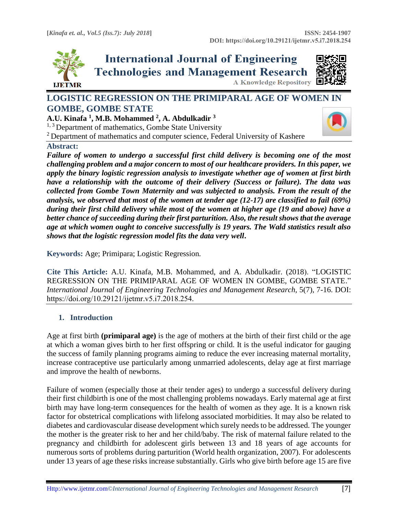

**International Journal of Engineering Technologies and Management Research A Knowledge Repository** 



# **LOGISTIC REGRESSION ON THE PRIMIPARAL AGE OF WOMEN IN GOMBE, GOMBE STATE**

**A.U. Kinafa <sup>1</sup> , M.B. Mohammed <sup>2</sup> , A. Abdulkadir <sup>3</sup>**

 $1, 3$  Department of mathematics, Gombe State University

<sup>2</sup> Department of mathematics and computer science, Federal University of Kashere

#### **Abstract:**

*Failure of women to undergo a successful first child delivery is becoming one of the most challenging problem and a major concern to most of our healthcare providers. In this paper, we apply the binary logistic regression analysis to investigate whether age of women at first birth have a relationship with the outcome of their delivery (Success or failure). The data was collected from Gombe Town Maternity and was subjected to analysis. From the result of the analysis, we observed that most of the women at tender age (12-17) are classified to fail (69%) during their first child delivery while most of the women at higher age (19 and above) have a better chance of succeeding during their first parturition. Also, the result shows that the average age at which women ought to conceive successfully is 19 years. The Wald statistics result also shows that the logistic regression model fits the data very well***.**

**Keywords:** Age; Primipara; Logistic Regression*.* 

**Cite This Article:** A.U. Kinafa, M.B. Mohammed, and A. Abdulkadir. (2018). "LOGISTIC REGRESSION ON THE PRIMIPARAL AGE OF WOMEN IN GOMBE, GOMBE STATE." *International Journal of Engineering Technologies and Management Research, 5(7), 7-16. DOI:* https://doi.org/10.29121/ijetmr.v5.i7.2018.254.

# **1. Introduction**

Age at first birth **(primiparal age)** is the age of mothers at the birth of their first child or the age at which a woman gives birth to her first offspring or child. It is the useful indicator for gauging the success of family planning programs aiming to reduce the ever increasing maternal mortality, increase contraceptive use particularly among unmarried adolescents, delay age at first marriage and improve the health of newborns.

Failure of women (especially those at their tender ages) to undergo a successful delivery during their first childbirth is one of the most challenging problems nowadays. Early maternal age at first birth may have long-term consequences for the health of women as they age. It is a known risk factor for obstetrical complications with lifelong associated morbidities. It may also be related to diabetes and cardiovascular disease development which surely needs to be addressed. The younger the mother is the greater risk to her and her child/baby. The risk of maternal failure related to the pregnancy and childbirth for adolescent girls between 13 and 18 years of age accounts for numerous sorts of problems during parturition (World health organization, 2007). For adolescents under 13 years of age these risks increase substantially. Girls who give birth before age 15 are five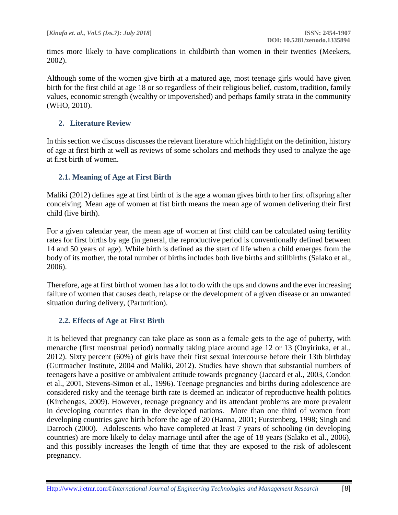times more likely to have complications in childbirth than women in their twenties (Meekers, 2002).

Although some of the women give birth at a matured age, most teenage girls would have given birth for the first child at age 18 or so regardless of their religious belief, custom, tradition, family values, economic strength (wealthy or impoverished) and perhaps family strata in the community (WHO, 2010).

## **2. Literature Review**

In this section we discuss discusses the relevant literature which highlight on the definition, history of age at first birth at well as reviews of some scholars and methods they used to analyze the age at first birth of women.

## **2.1. Meaning of Age at First Birth**

Maliki (2012) defines age at first birth of is the age a woman gives birth to her first offspring after conceiving. Mean age of women at fist birth means the mean age of women delivering their first child (live birth).

For a given calendar year, the mean age of women at first child can be calculated using fertility rates for first births by age (in general, the reproductive period is conventionally defined between 14 and 50 years of age). While birth is defined as the start of life when a child emerges from the body of its mother, the total number of births includes both live births and stillbirths (Salako et al., 2006).

Therefore, age at first birth of women has a lot to do with the ups and downs and the ever increasing failure of women that causes death, relapse or the development of a given disease or an unwanted situation during delivery, (Parturition).

#### **2.2. Effects of Age at First Birth**

It is believed that pregnancy can take place as soon as a female gets to the age of puberty, with menarche (first menstrual period) normally taking place around age 12 or 13 (Onyiriuka, et al., 2012). Sixty percent (60%) of girls have their first sexual intercourse before their 13th birthday (Guttmacher Institute, 2004 and Maliki, 2012). Studies have shown that substantial numbers of teenagers have a positive or ambivalent attitude towards pregnancy (Jaccard et al., 2003, Condon et al., 2001, Stevens-Simon et al., 1996). Teenage pregnancies and births during adolescence are considered risky and the teenage birth rate is deemed an indicator of reproductive health politics (Kirchengas, 2009). However, teenage pregnancy and its attendant problems are more prevalent in developing countries than in the developed nations. More than one third of women from developing countries gave birth before the age of 20 (Hanna, 2001; Furstenberg, 1998; Singh and Darroch (2000). Adolescents who have completed at least 7 years of schooling (in developing countries) are more likely to delay marriage until after the age of 18 years (Salako et al., 2006), and this possibly increases the length of time that they are exposed to the risk of adolescent pregnancy.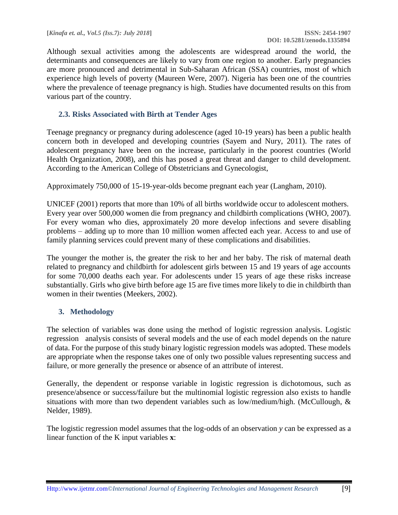Although sexual activities among the adolescents are widespread around the world, the determinants and consequences are likely to vary from one region to another. Early pregnancies are more pronounced and detrimental in Sub-Saharan African (SSA) countries, most of which experience high levels of poverty (Maureen Were, 2007). Nigeria has been one of the countries where the prevalence of teenage pregnancy is high. Studies have documented results on this from various part of the country.

## **2.3. Risks Associated with Birth at Tender Ages**

Teenage pregnancy or pregnancy during adolescence (aged 10-19 years) has been a public health concern both in developed and developing countries (Sayem and Nury, 2011). The rates of adolescent pregnancy have been on the increase, particularly in the poorest countries (World Health Organization, 2008), and this has posed a great threat and danger to child development. According to the American College of Obstetricians and Gynecologist,

Approximately 750,000 of 15-19-year-olds become pregnant each year (Langham, 2010).

UNICEF (2001) reports that more than 10% of all births worldwide occur to adolescent mothers. Every year over 500,000 women die from pregnancy and childbirth complications (WHO, 2007). For every woman who dies, approximately 20 more develop infections and severe disabling problems – adding up to more than 10 million women affected each year. Access to and use of family planning services could prevent many of these complications and disabilities.

The younger the mother is, the greater the risk to her and her baby. The risk of maternal death related to pregnancy and childbirth for adolescent girls between 15 and 19 years of age accounts for some 70,000 deaths each year. For adolescents under 15 years of age these risks increase substantially. Girls who give birth before age 15 are five times more likely to die in childbirth than women in their twenties (Meekers, 2002).

#### **3. Methodology**

The selection of variables was done using the method of logistic regression analysis. Logistic regression analysis consists of several models and the use of each model depends on the nature of data. For the purpose of this study binary logistic regression models was adopted. These models are appropriate when the response takes one of only two possible values representing success and failure, or more generally the presence or absence of an attribute of interest.

Generally, the dependent or response variable in logistic regression is dichotomous, such as presence/absence or success/failure but the multinomial logistic regression also exists to handle situations with more than two dependent variables such as low/medium/high. (McCullough, & Nelder, 1989).

The logistic regression model assumes that the log-odds of an observation *y* can be expressed as a linear function of the K input variables **x**: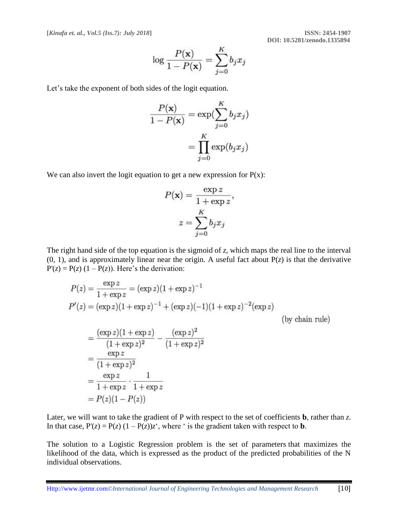**[***Kinafa et. al., Vol.5 (Iss.7): July 2018***] ISSN: 2454-1907**

 **DOI: 10.5281/zenodo.1335894**

$$
\log\frac{P(\mathbf{x})}{1-P(\mathbf{x})} = \sum_{j=0}^K b_j x_j
$$

Let's take the exponent of both sides of the logit equation.

$$
\frac{P(\mathbf{x})}{1 - P(\mathbf{x})} = \exp(\sum_{j=0}^{K} b_j x_j)
$$

$$
= \prod_{j=0}^{K} \exp(b_j x_j)
$$

We can also invert the logit equation to get a new expression for  $P(x)$ :

$$
P(\mathbf{x}) = \frac{\exp z}{1 + \exp z},
$$

$$
z = \sum_{j=0}^{K} b_j x_j
$$

The right hand side of the top equation is the sigmoid of *z*, which maps the real line to the interval  $(0, 1)$ , and is approximately linear near the origin. A useful fact about  $P(z)$  is that the derivative  $P'(z) = P(z) (1 - P(z))$ . Here's the derivation:

$$
P(z) = \frac{\exp z}{1 + \exp z} = (\exp z)(1 + \exp z)^{-1}
$$
  
\n
$$
P'(z) = (\exp z)(1 + \exp z)^{-1} + (\exp z)(-1)(1 + \exp z)^{-2}(\exp z)
$$
  
\n
$$
= \frac{(\exp z)(1 + \exp z)}{(1 + \exp z)^2} - \frac{(\exp z)^2}{(1 + \exp z)^2}
$$
  
\n
$$
= \frac{\exp z}{(1 + \exp z)^2}
$$
  
\n
$$
= \frac{\exp z}{1 + \exp z} \cdot \frac{1}{1 + \exp z}
$$
  
\n
$$
= P(z)(1 - P(z))
$$

Later, we will want to take the gradient of P with respect to the set of coefficients **b**, rather than *z*. In that case,  $P'(z) = P(z) (1 - P(z))z^2$ , where ' is the gradient taken with respect to **b**.

The solution to a Logistic Regression problem is the set of parameters that maximizes the likelihood of the data, which is expressed as the product of the predicted probabilities of the N individual observations.

Http:/[/www.ijetmr.com©](http://www.granthaalayah.com/)*International Journal of Engineering Technologies and Management Research* [10]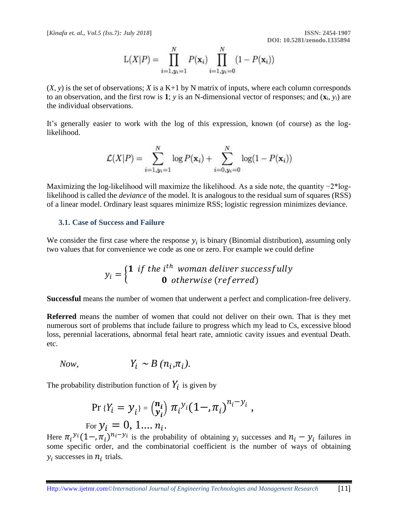**[***Kinafa et. al., Vol.5 (Iss.7): July 2018***] ISSN: 2454-1907**

$$
L(X|P) = \prod_{i=1, y_i=1}^{N} P(\mathbf{x}_i) \prod_{i=1, y_i=0}^{N} (1 - P(\mathbf{x}_i))
$$

 $(X, y)$  is the set of observations; *X* is a K+1 by N matrix of inputs, where each column corresponds to an observation, and the first row is 1;  $y$  is an N-dimensional vector of responses; and  $(\mathbf{x}_i, y_i)$  are the individual observations.

It's generally easier to work with the log of this expression, known (of course) as the loglikelihood.

$$
\mathcal{L}(X|P) = \sum_{i=1, y_i=1}^{N} \log P(\mathbf{x}_i) + \sum_{i=0, y_i=0}^{N} \log(1 - P(\mathbf{x}_i))
$$

Maximizing the log-likelihood will maximize the likelihood. As a side note, the quantity −2\*loglikelihood is called the *deviance* of the model. It is analogous to the residual sum of squares (RSS) of a linear model. Ordinary least squares minimize RSS; logistic regression minimizes deviance.

#### **3.1. Case of Success and Failure**

We consider the first case where the response  $y_i$  is binary (Binomial distribution), assuming only two values that for convenience we code as one or zero. For example we could define

$$
y_i = \begin{cases} \n\mathbf{1} & \text{if the } i^{th} \text{ woman deliver successfully} \\ \n\mathbf{0} & \text{otherwise (referred)} \n\end{cases}
$$

**Successful** means the number of women that underwent a perfect and complication-free delivery.

**Referred** means the number of women that could not deliver on their own. That is they met numerous sort of problems that include failure to progress which my lead to Cs, excessive blood loss, perennial lacerations, abnormal fetal heart rate, amniotic cavity issues and eventual Death. etc.

*Now,*  $Y_i \sim B(n_i, \pi_i).$ 

The probability distribution function of  $Y_i$  is given by

$$
\Pr \{ Y_i = y_i \} = {n_i \choose y_i} \pi_i^{y_i} (1 - \pi_i)^{n_i - y_i},
$$
  
For  $y_i = 0, 1, ..., n_i$ .

Here  $\pi_i^{\nu_i}(1-\pi_i)^{n_i-\nu_i}$  is the probability of obtaining  $\nu_i$  successes and  $n_i-\nu_i$  failures in some specific order, and the combinatorial coefficient is the number of ways of obtaining  $y_i$  successes in  $n_i$  trials.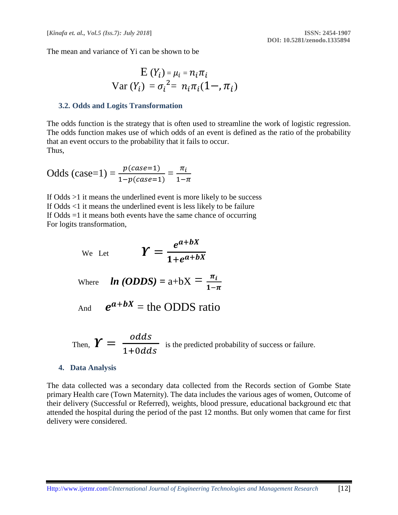The mean and variance of Yi can be shown to be

$$
E(Y_i) = \mu_i = n_i \pi_i
$$
  
Var  $(Y_i)$  =  $\sigma_i^2 = n_i \pi_i (1 - \pi_i)$ 

#### **3.2. Odds and Logits Transformation**

The odds function is the strategy that is often used to streamline the work of logistic regression. The odds function makes use of which odds of an event is defined as the ratio of the probability that an event occurs to the probability that it fails to occur. Thus,

Odds (case=1) = 
$$
\frac{p (case=1)}{1 - p (case=1)} = \frac{\pi_i}{1 - \pi}
$$

If Odds >1 it means the underlined event is more likely to be success If Odds <1 it means the underlined event is less likely to be failure If Odds =1 it means both events have the same chance of occurring For logits transformation,

We Let 
$$
\boldsymbol{Y} = \frac{e^{a+bX}}{1+e^{a+bX}}
$$

Where **ln (ODDS)** = 
$$
a+bX = \frac{\pi_i}{1-\pi}
$$

And 
$$
e^{a+bX}
$$
 = the ODDS ratio

Then,  $\boldsymbol{Y} = \frac{odds}{1 + 0.6d}$  $1+0$ *dds* is the predicted probability of success or failure.

#### **4. Data Analysis**

The data collected was a secondary data collected from the Records section of Gombe State primary Health care (Town Maternity). The data includes the various ages of women, Outcome of their delivery (Successful or Referred), weights, blood pressure, educational background etc that attended the hospital during the period of the past 12 months. But only women that came for first delivery were considered.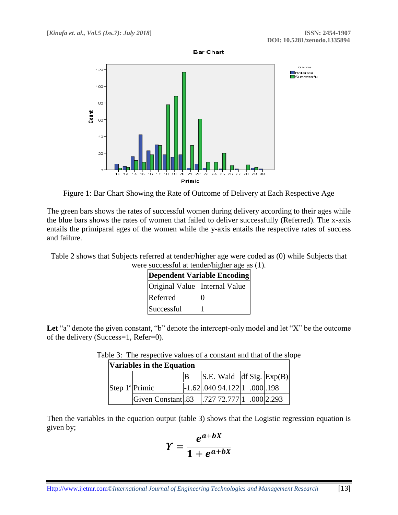

Figure 1: Bar Chart Showing the Rate of Outcome of Delivery at Each Respective Age

The green bars shows the rates of successful women during delivery according to their ages while the blue bars shows the rates of women that failed to deliver successfully (Referred). The x-axis entails the primiparal ages of the women while the y-axis entails the respective rates of success and failure.

Table 2 shows that Subjects referred at tender/higher age were coded as (0) while Subjects that were successful at tender/higher age as (1).

| Dependent Variable Encoding   |  |  |  |  |  |  |  |
|-------------------------------|--|--|--|--|--|--|--|
| Original Value Internal Value |  |  |  |  |  |  |  |
| Referred                      |  |  |  |  |  |  |  |
| Successful                    |  |  |  |  |  |  |  |

Let "a" denote the given constant, "b" denote the intercept-only model and let "X" be the outcome of the delivery (Success=1, Refer=0).

> Table 3: The respective values of a constant and that of the slope **Variables in the Equation**

| Variables in the Equation |                   |  |  |                                                                                |  |  |                                   |  |  |  |
|---------------------------|-------------------|--|--|--------------------------------------------------------------------------------|--|--|-----------------------------------|--|--|--|
|                           |                   |  |  |                                                                                |  |  | $ S.E. $ Wald $ df Sig.  Exp(B) $ |  |  |  |
| Step $1^{\circ}$ Primic   |                   |  |  | $\left  -1.62 \right  0.040 \left  94.122 \right  1 \left  0.00 \right  0.198$ |  |  |                                   |  |  |  |
|                           | Given Constant 83 |  |  | .727 72.777 1 .000 2.293                                                       |  |  |                                   |  |  |  |

Then the variables in the equation output (table 3) shows that the Logistic regression equation is given by;

$$
Y=\frac{e^{a+bX}}{1+e^{a+bX}}
$$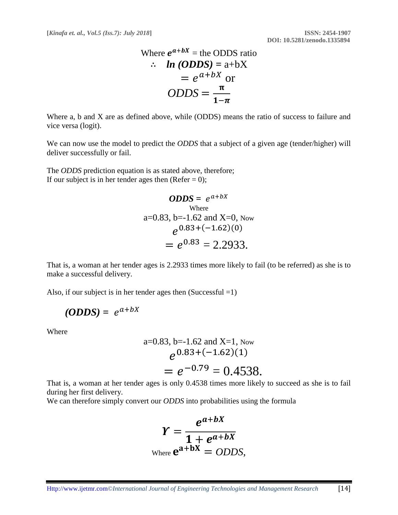Where 
$$
e^{a+bX}
$$
 = the ODDS ratio  
\n
$$
\therefore ln (ODDS) = a+bX
$$
\n
$$
= e^{a+bX} \text{ or }
$$
\n
$$
ODDS = \frac{\pi}{1-\pi}
$$

Where a, b and X are as defined above, while (ODDS) means the ratio of success to failure and vice versa (logit).

We can now use the model to predict the *ODDS* that a subject of a given age (tender/higher) will deliver successfully or fail.

The *ODDS* prediction equation is as stated above, therefore; If our subject is in her tender ages then (Refer  $= 0$ );

$$
ODDS = e^{a+bx}
$$
  
where  
a=0.83, b=-1.62 and X=0, Now  

$$
e^{0.83+(-1.62)(0)}
$$

$$
= e^{0.83} = 2.2933.
$$

That is, a woman at her tender ages is 2.2933 times more likely to fail (to be referred) as she is to make a successful delivery.

Also, if our subject is in her tender ages then  $(Successful = 1)$ 

$$
(ODDS) = e^{a+bX}
$$

Where

a=0.83, b=-1.62 and X=1, Now  
\n
$$
e^{0.83+(-1.62)(1)}
$$
  
\n $= e^{-0.79} = 0.4538.$ 

That is, a woman at her tender ages is only 0.4538 times more likely to succeed as she is to fail during her first delivery.

We can therefore simply convert our *ODDS* into probabilities using the formula

$$
Y = \frac{e^{a+bX}}{1+e^{a+bX}}
$$
  
where  $e^{a+bX} = ODDS$ ,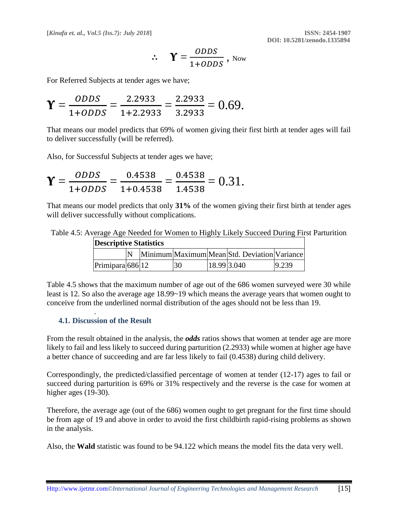**[***Kinafa et. al., Vol.5 (Iss.7): July 2018***] ISSN: 2454-1907**

$$
\therefore \quad \Upsilon = \frac{ODDS}{1+ODDS}, \text{ Now}
$$

For Referred Subjects at tender ages we have;

$$
\Upsilon = \frac{ODDS}{1+ODDS} = \frac{2.2933}{1+2.2933} = \frac{2.2933}{3.2933} = 0.69.
$$

That means our model predicts that 69% of women giving their first birth at tender ages will fail to deliver successfully (will be referred).

Also, for Successful Subjects at tender ages we have;

$$
\Upsilon = \frac{ODDS}{1+ODDS} = \frac{0.4538}{1+0.4538} = \frac{0.4538}{1.4538} = 0.31.
$$

That means our model predicts that only **31%** of the women giving their first birth at tender ages will deliver successfully without complications.

Table 4.5: Average Age Needed for Women to Highly Likely Succeed During First Parturition

| <b>Descriptive Statistics</b> |  |  |    |             |                                              |       |  |  |  |
|-------------------------------|--|--|----|-------------|----------------------------------------------|-------|--|--|--|
|                               |  |  |    |             | Minimum Maximum Mean Std. Deviation Variance |       |  |  |  |
| Primipara $686$  12           |  |  | 30 | 18.99 3.040 |                                              | 9.239 |  |  |  |

Table 4.5 shows that the maximum number of age out of the 686 women surveyed were 30 while least is 12. So also the average age 18.99~19 which means the average years that women ought to conceive from the underlined normal distribution of the ages should not be less than 19.

#### **4.1. Discussion of the Result**

.

From the result obtained in the analysis, the *odds* ratios shows that women at tender age are more likely to fail and less likely to succeed during parturition (2.2933) while women at higher age have a better chance of succeeding and are far less likely to fail (0.4538) during child delivery.

Correspondingly, the predicted/classified percentage of women at tender (12-17) ages to fail or succeed during parturition is 69% or 31% respectively and the reverse is the case for women at higher ages (19-30).

Therefore, the average age (out of the 686) women ought to get pregnant for the first time should be from age of 19 and above in order to avoid the first childbirth rapid-rising problems as shown in the analysis.

Also, the **Wald** statistic was found to be 94.122 which means the model fits the data very well.